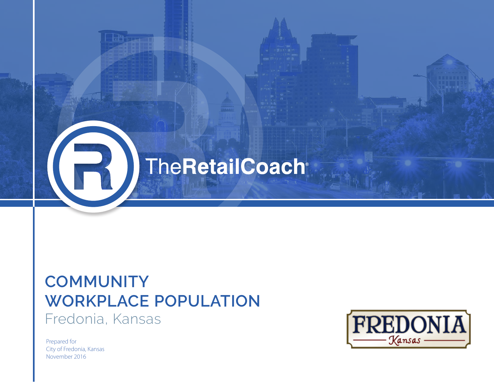

## **COMMUNITY WORKPLACE POPULATION** Fredonia, Kansas

Bhita

Prepared for City of Fredonia, Kansas November 2016

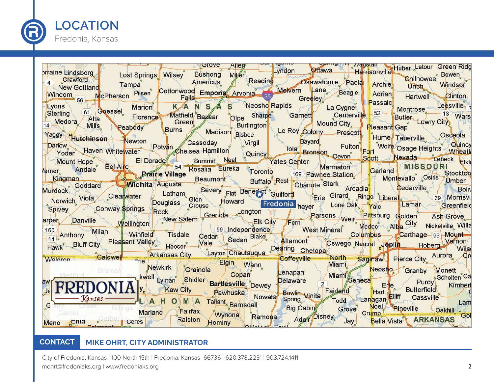

| <b>STOVE</b><br>Allen                                                                                                                                                                                                                                                            |                                                                                                               |
|----------------------------------------------------------------------------------------------------------------------------------------------------------------------------------------------------------------------------------------------------------------------------------|---------------------------------------------------------------------------------------------------------------|
| Diraine Lindsborg<br>4 Crawford Lost Springs Wilsey Bushong Miller                                                                                                                                                                                                               | Lyndon Offawa Harrisonville Huber Latour Green Ridg                                                           |
|                                                                                                                                                                                                                                                                                  | • Bowen<br><b>Chilhowee</b>                                                                                   |
|                                                                                                                                                                                                                                                                                  | Americus Reading Sawatomie Paola Archie                                                                       |
|                                                                                                                                                                                                                                                                                  |                                                                                                               |
| Windom McPherson Pilsen Cottonwood Emporia Arvonia 35 Melvern Lane Beagle Archie Unich Windsor<br>Windom <sub>56</sub> McPherson Pilsen Cottonwood Emporia Arvonia 35 Melvern Lane Beagle Adrian Hartwell Clinton                                                                |                                                                                                               |
|                                                                                                                                                                                                                                                                                  |                                                                                                               |
| Marion KANSAS Neosho Rapids La Cygne Passaic                                                                                                                                                                                                                                     |                                                                                                               |
| Lyons 61 Goessel Marion KANSAS Neoshq kapıds La Cygne Sharpe Sharpe Centerville 52 Montrose 13 W<br>Alta Alta Florence Matfield Bazaar Olpe Sharpe Garnett Centerville 52 Butler Lowry City                                                                                      | Montrose Leesville 7<br>Butler , 13 Wars                                                                      |
| Medora Alta                                                                                                                                                                                                                                                                      | Mound City Pleasant Gap                                                                                       |
|                                                                                                                                                                                                                                                                                  |                                                                                                               |
| Peabody Burns Madison Bisbee                                                                                                                                                                                                                                                     |                                                                                                               |
| Nurdock Scotland Murdock Cleanwater Manne Severy Fiat Benezit Cuilford Severy France State Latham Severy France State Latham Severy France State Cleanwater Murdock Cleanwater Latham Severy France State Cleanwater Latham Se                                                   | Burlington Le Roy Colony Prescott Pleasant Dap<br>dison Rishee Le Roy Colony Prescott Hume Taberville Osceola |
|                                                                                                                                                                                                                                                                                  |                                                                                                               |
|                                                                                                                                                                                                                                                                                  |                                                                                                               |
|                                                                                                                                                                                                                                                                                  |                                                                                                               |
|                                                                                                                                                                                                                                                                                  |                                                                                                               |
|                                                                                                                                                                                                                                                                                  |                                                                                                               |
|                                                                                                                                                                                                                                                                                  |                                                                                                               |
|                                                                                                                                                                                                                                                                                  |                                                                                                               |
|                                                                                                                                                                                                                                                                                  |                                                                                                               |
|                                                                                                                                                                                                                                                                                  |                                                                                                               |
| urdock Goggard Cleanwater Latham Severy Fiat Benezia Cuilford Erie Girard Ringo Liberal Gedarville Boliv<br>Norwich Viola Cleanwater Douglass Crouse Howard Fredonia hayer Lone Oak Yale Lamar Greenfield                                                                        |                                                                                                               |
|                                                                                                                                                                                                                                                                                  |                                                                                                               |
|                                                                                                                                                                                                                                                                                  |                                                                                                               |
| Eliz Conway Springs Rock Longton Cream Change Longton Eliz Persons Weir Pittsburg Golden Ash Grove<br>The Mellington Weilington Weilington Milan Mellington Milan Milan Milan Milan Milan Milan Mellington Control Control Medic                                                 |                                                                                                               |
|                                                                                                                                                                                                                                                                                  |                                                                                                               |
|                                                                                                                                                                                                                                                                                  |                                                                                                               |
|                                                                                                                                                                                                                                                                                  |                                                                                                               |
|                                                                                                                                                                                                                                                                                  |                                                                                                               |
| Waldron Caldwell Erie Arkansas City Layton Chautauqua Dearing Chetopa                                                                                                                                                                                                            | Coffeyville North Sagmaw Pierce City Aurora Cre                                                               |
| Elgin Wann                                                                                                                                                                                                                                                                       |                                                                                                               |
|                                                                                                                                                                                                                                                                                  |                                                                                                               |
|                                                                                                                                                                                                                                                                                  |                                                                                                               |
|                                                                                                                                                                                                                                                                                  |                                                                                                               |
|                                                                                                                                                                                                                                                                                  |                                                                                                               |
|                                                                                                                                                                                                                                                                                  |                                                                                                               |
| The Mewkirk Corainola Copan Company Miami Meosho Granby Monett Scholten Cases (Meosho Granby Monett Scholten Cases (Meosho Granby Monett Scholten Cases (Meosho Cases (Meosho Cases (Meosho Cases (Meosho Cases (Meosho Cases<br>Kansas LAHOMA Tallant Barnsdall Big Cabin Grove | Lam                                                                                                           |
| <b>Billings Marland</b>                                                                                                                                                                                                                                                          | Noel Pineville Coakhill                                                                                       |
| Fairfax<br>Wynona Ramona                                                                                                                                                                                                                                                         | Crump                                                                                                         |
| Meno Enig Carber Ceres<br>Ralston<br>Hominy                                                                                                                                                                                                                                      | Bella Vista ARKANSAS Gol<br>Ramona Adair Disney Jay                                                           |
|                                                                                                                                                                                                                                                                                  |                                                                                                               |

#### **CONTACT MIKE OHRT, CITY ADMINISTRATOR**

City of Fredonia, Kansas | 100 North 15th | Fredonia, Kansas 66736 | 620.378.2231 | 903.724.1411 mohrt@fredoniaks.org | www.fredoniaks.org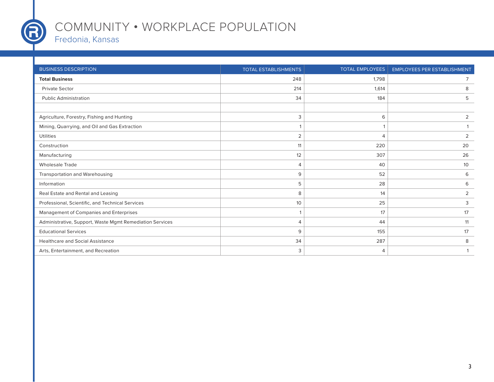

Т

### COMMUNITY **•** WORKPLACE POPULATION

#### Fredonia, Kansas

| <b>BUSINESS DESCRIPTION</b>                              | <b>TOTAL ESTABLISHMENTS</b> | <b>TOTAL EMPLOYEES</b> | <b>EMPLOYEES PER ESTABLISHMENT</b> |
|----------------------------------------------------------|-----------------------------|------------------------|------------------------------------|
| <b>Total Business</b>                                    | 248                         | 1,798                  | 7                                  |
| <b>Private Sector</b>                                    | 214                         | 1,614                  | 8                                  |
| <b>Public Administration</b>                             | 34                          | 184                    | 5                                  |
|                                                          |                             |                        |                                    |
| Agriculture, Forestry, Fishing and Hunting               | 3                           | 6                      | 2                                  |
| Mining, Quarrying, and Oil and Gas Extraction            |                             |                        |                                    |
| <b>Utilities</b>                                         | $\overline{2}$              | $\overline{4}$         | 2                                  |
| Construction                                             | 11                          | 220                    | 20                                 |
| Manufacturing                                            | 12                          | 307                    | 26                                 |
| <b>Wholesale Trade</b>                                   | $\overline{4}$              | 40                     | 10                                 |
| Transportation and Warehousing                           | 9                           | 52                     | 6                                  |
| Information                                              | 5                           | 28                     | 6                                  |
| Real Estate and Rental and Leasing                       | 8                           | 14                     | 2                                  |
| Professional, Scientific, and Technical Services         | 10                          | 25                     | 3                                  |
| Management of Companies and Enterprises                  |                             | 17                     | 17                                 |
| Administrative, Support, Waste Mgmt Remediation Services | 4                           | 44                     | 11                                 |
| <b>Educational Services</b>                              | 9                           | 155                    | 17                                 |
| <b>Healthcare and Social Assistance</b>                  | 34                          | 287                    | 8                                  |
| Arts, Entertainment, and Recreation                      | 3                           | $\overline{4}$         |                                    |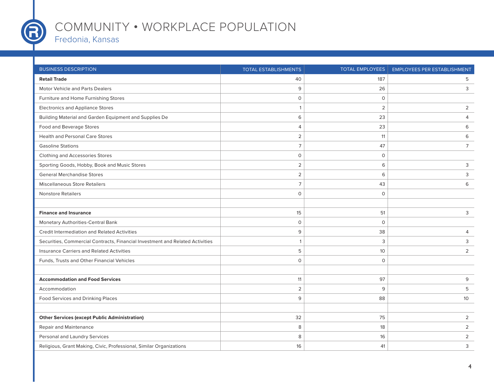

T

### COMMUNITY **•** WORKPLACE POPULATION

Fredonia, Kansas

| <b>BUSINESS DESCRIPTION</b>                                                   | <b>TOTAL ESTABLISHMENTS</b> | <b>TOTAL EMPLOYEES</b> | <b>EMPLOYEES PER ESTABLISHMENT</b> |
|-------------------------------------------------------------------------------|-----------------------------|------------------------|------------------------------------|
| <b>Retail Trade</b>                                                           | 40                          | 187                    | 5                                  |
| <b>Motor Vehicle and Parts Dealers</b>                                        | 9                           | 26                     | 3                                  |
| Furniture and Home Furnishing Stores                                          | $\mathsf O$                 | $\mathsf O$            |                                    |
| <b>Electronics and Appliance Stores</b>                                       | 1                           | 2                      | $\overline{2}$                     |
| Building Material and Garden Equipment and Supplies De                        | 6                           | 23                     | 4                                  |
| Food and Beverage Stores                                                      | $\overline{4}$              | 23                     | 6                                  |
| <b>Health and Personal Care Stores</b>                                        | $\overline{2}$              | 11                     | 6                                  |
| <b>Gasoline Stations</b>                                                      | $\overline{7}$              | 47                     | $\overline{7}$                     |
| Clothing and Accessories Stores                                               | $\mathsf{O}$                | $\circ$                |                                    |
| Sporting Goods, Hobby, Book and Music Stores                                  | $\overline{2}$              | 6                      | 3                                  |
| <b>General Merchandise Stores</b>                                             | $\overline{2}$              | 6                      | 3                                  |
| <b>Miscellaneous Store Retailers</b>                                          | $\overline{7}$              | 43                     | 6                                  |
| <b>Nonstore Retailers</b>                                                     | $\Omega$                    | $\mathsf O$            |                                    |
|                                                                               |                             |                        |                                    |
| <b>Finance and Insurance</b>                                                  | 15                          | 51                     | 3                                  |
| Monetary Authorities-Central Bank                                             | $\mathsf{O}$                | $\circ$                |                                    |
| Credit Intermediation and Related Activities                                  | 9                           | 38                     | 4                                  |
| Securities, Commercial Contracts, Financial Investment and Related Activities | 1                           | 3                      | 3                                  |
| Insurance Carriers and Related Activities                                     | 5                           | 10                     | $\overline{2}$                     |
| Funds, Trusts and Other Financial Vehicles                                    | $\mathsf{O}$                | $\circ$                |                                    |
|                                                                               |                             |                        |                                    |
| <b>Accommodation and Food Services</b>                                        | 11                          | 97                     | 9                                  |
| Accommodation                                                                 | $\overline{2}$              | 9                      | 5                                  |
| <b>Food Services and Drinking Places</b>                                      | 9                           | 88                     | 10                                 |
|                                                                               |                             |                        |                                    |
| <b>Other Services (except Public Administration)</b>                          | 32                          | 75                     | $\overline{2}$                     |
| Repair and Maintenance                                                        | 8                           | 18                     | $\overline{2}$                     |
| Personal and Laundry Services                                                 | 8                           | 16                     | $\overline{2}$                     |
| Religious, Grant Making, Civic, Professional, Similar Organizations           | 16                          | 41                     | 3                                  |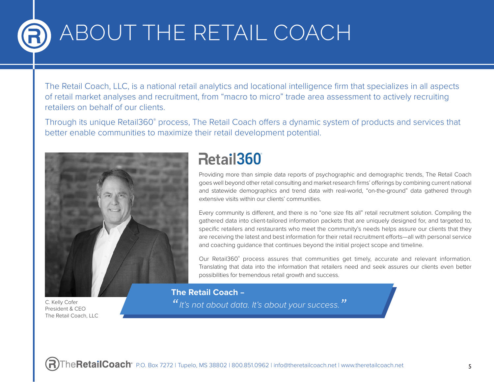# ABOUT THE RETAIL COACH

The Retail Coach, LLC, is a national retail analytics and locational intelligence firm that specializes in all aspects of retail market analyses and recruitment, from "macro to micro" trade area assessment to actively recruiting retailers on behalf of our clients.

Through its unique Retail360° process, The Retail Coach offers a dynamic system of products and services that better enable communities to maximize their retail development potential.



C. Kelly Cofer President & CEO The Retail Coach, LLC

## Retail360

Providing more than simple data reports of psychographic and demographic trends, The Retail Coach goes well beyond other retail consulting and market research firms' offerings by combining current national and statewide demographics and trend data with real-world, "on-the-ground" data gathered through extensive visits within our clients' communities.

Every community is different, and there is no "one size fits all" retail recruitment solution. Compiling the gathered data into client-tailored information packets that are uniquely designed for, and targeted to, specific retailers and restaurants who meet the community's needs helps assure our clients that they are receiving the latest and best information for their retail recruitment efforts—all with personal service and coaching guidance that continues beyond the initial project scope and timeline.

Our Retail360® process assures that communities get timely, accurate and relevant information. Translating that data into the information that retailers need and seek assures our clients even better possibilities for tremendous retail growth and success.

**The Retail Coach –**

*"It's not about data. It's about your success."*